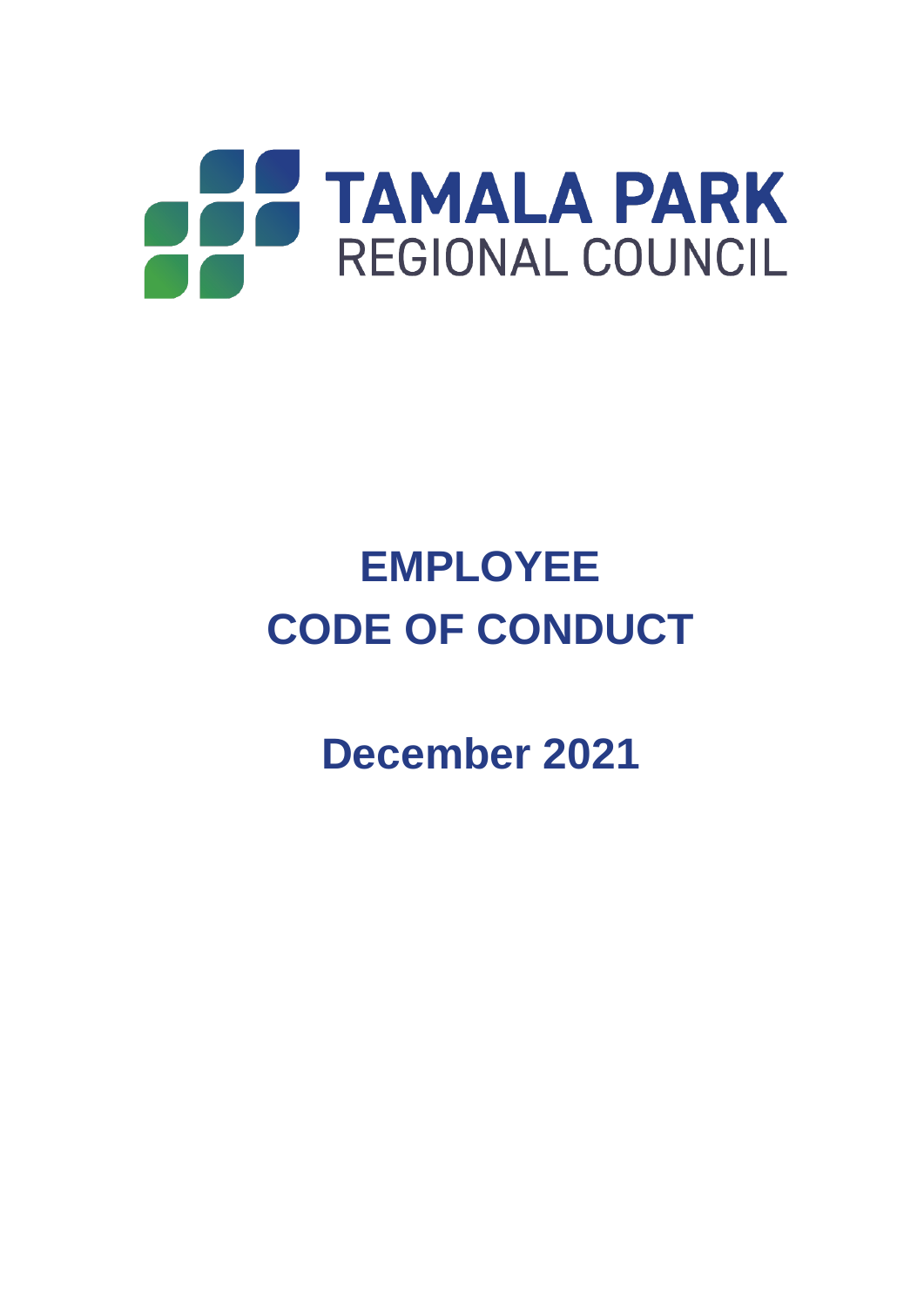

**December 2021**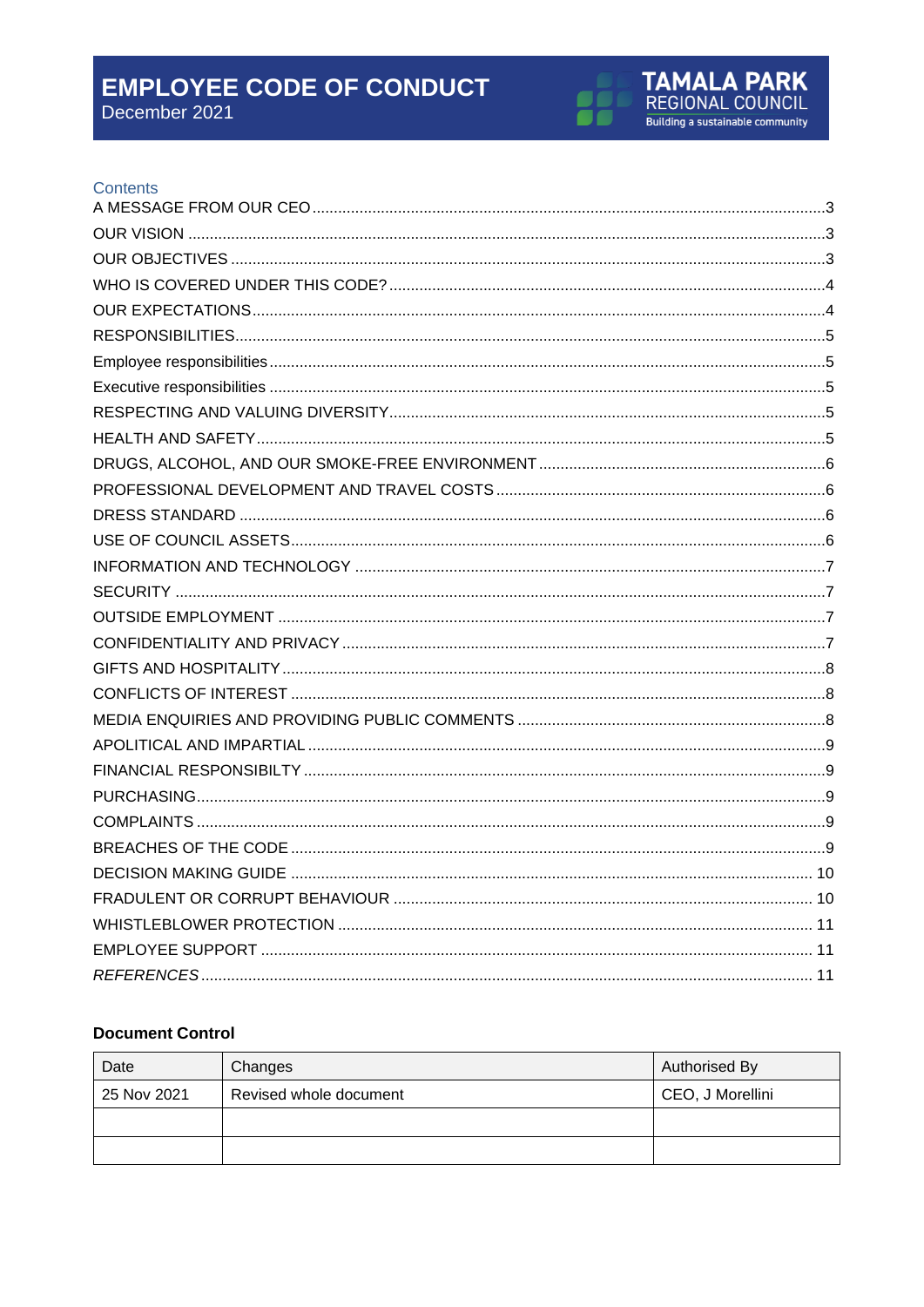December 2021



#### Contents

#### **Document Control**

<span id="page-1-0"></span>

| Date        | Changes                | Authorised By    |
|-------------|------------------------|------------------|
| 25 Nov 2021 | Revised whole document | CEO, J Morellini |
|             |                        |                  |
|             |                        |                  |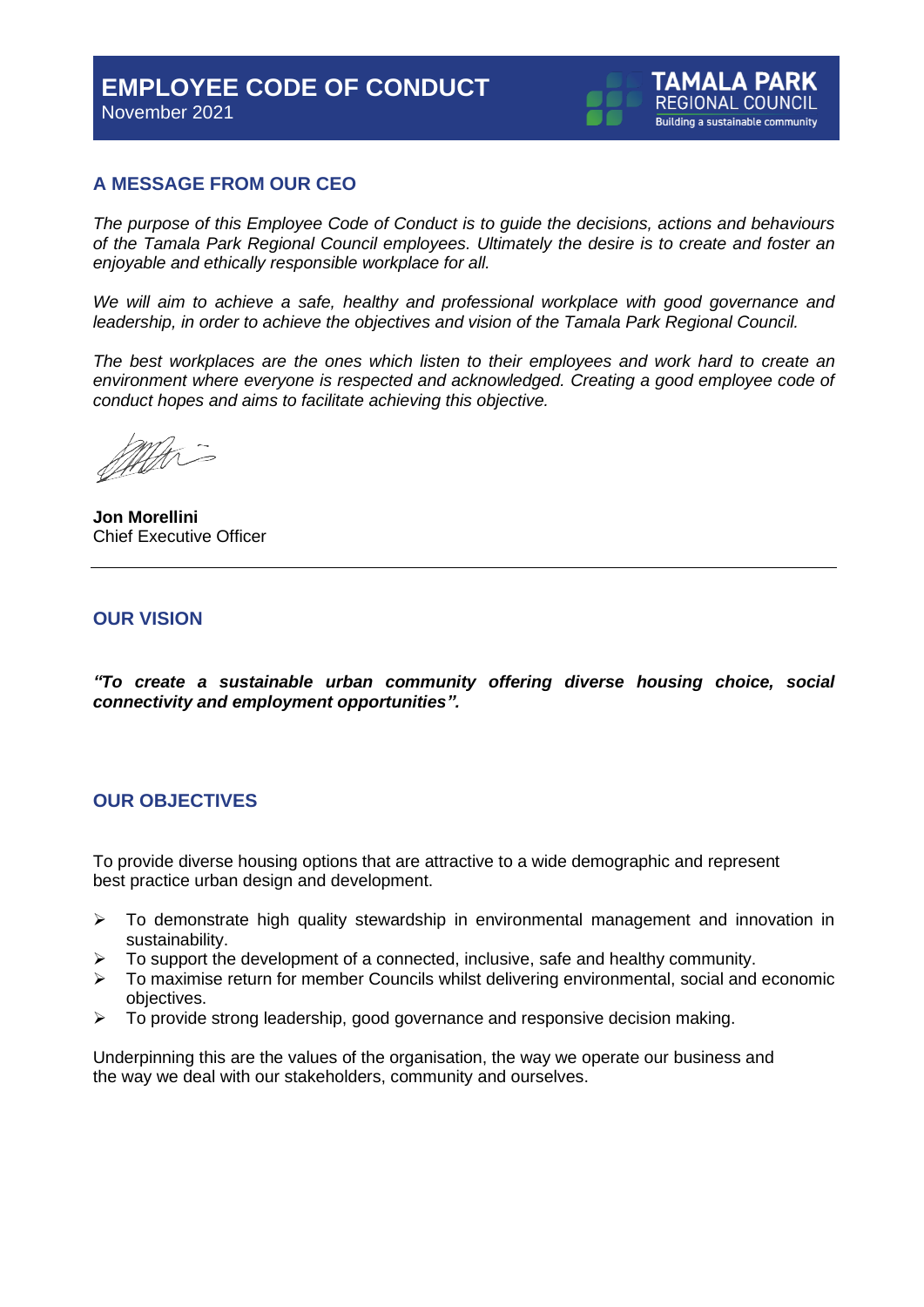

#### **A MESSAGE FROM OUR CEO**

*The purpose of this Employee Code of Conduct is to guide the decisions, actions and behaviours of the Tamala Park Regional Council employees. Ultimately the desire is to create and foster an enjoyable and ethically responsible workplace for all.*

We will aim to achieve a safe, healthy and professional workplace with good governance and *leadership, in order to achieve the objectives and vision of the Tamala Park Regional Council.*

*The best workplaces are the ones which listen to their employees and work hard to create an*  environment where everyone is respected and acknowledged. Creating a good employee code of *conduct hopes and aims to facilitate achieving this objective.* 

MART

**Jon Morellini** Chief Executive Officer

#### <span id="page-2-0"></span>**OUR VISION**

*"To create a sustainable urban community offering diverse housing choice, social connectivity and employment opportunities".*

#### <span id="page-2-1"></span>**OUR OBJECTIVES**

To provide diverse housing options that are attractive to a wide demographic and represent best practice urban design and development.

- ➢ To demonstrate high quality stewardship in environmental management and innovation in sustainability.
- ➢ To support the development of a connected, inclusive, safe and healthy community.
- $\triangleright$  To maximise return for member Councils whilst delivering environmental, social and economic objectives.
- ➢ To provide strong leadership, good governance and responsive decision making.

Underpinning this are the values of the organisation, the way we operate our business and the way we deal with our stakeholders, community and ourselves.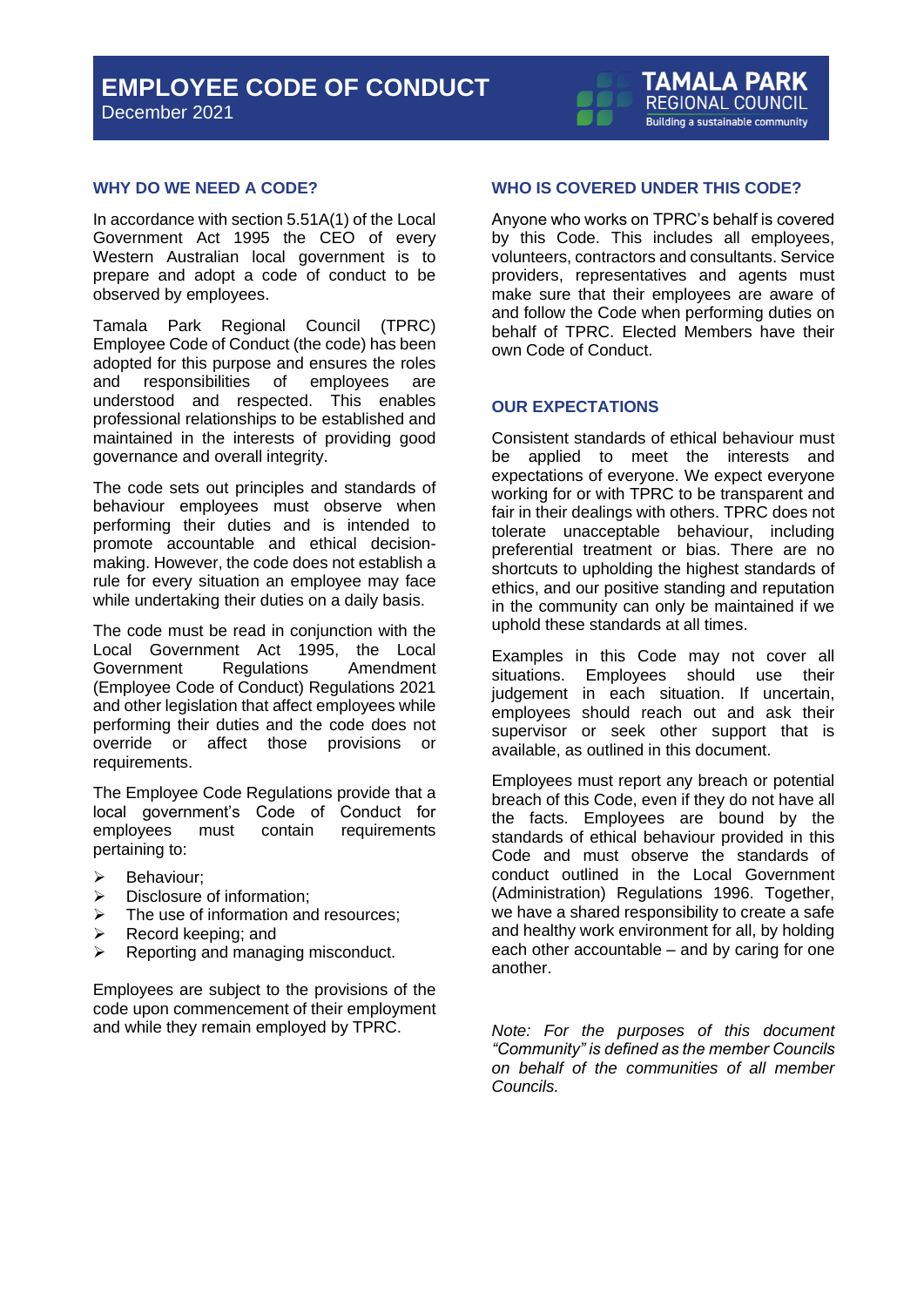December 2021



#### **WHY DO WE NEED A CODE?**

In accordance with section 5.51A(1) of the Local Government Act 1995 the CEO of every Western Australian local government is to prepare and adopt a code of conduct to be observed by employees.

Tamala Park Regional Council (TPRC) Employee Code of Conduct (the code) has been adopted for this purpose and ensures the roles and responsibilities of employees are understood and respected. This enables professional relationships to be established and maintained in the interests of providing good governance and overall integrity.

The code sets out principles and standards of behaviour employees must observe when performing their duties and is intended to promote accountable and ethical decisionmaking. However, the code does not establish a rule for every situation an employee may face while undertaking their duties on a daily basis.

The code must be read in conjunction with the Local Government Act 1995, the Local Government Regulations Amendment (Employee Code of Conduct) Regulations 2021 and other legislation that affect employees while performing their duties and the code does not override or affect those provisions or requirements.

The Employee Code Regulations provide that a local government's Code of Conduct for employees must contain requirements pertaining to:

- ➢ Behaviour;
- ➢ Disclosure of information;
- $\triangleright$  The use of information and resources:
- $\triangleright$  Record keeping; and
- ➢ Reporting and managing misconduct.

Employees are subject to the provisions of the code upon commencement of their employment and while they remain employed by TPRC.

#### <span id="page-3-0"></span>**WHO IS COVERED UNDER THIS CODE?**

Anyone who works on TPRC's behalf is covered by this Code. This includes all employees, volunteers, contractors and consultants. Service providers, representatives and agents must make sure that their employees are aware of and follow the Code when performing duties on behalf of TPRC. Elected Members have their own Code of Conduct.

#### <span id="page-3-1"></span>**OUR EXPECTATIONS**

Consistent standards of ethical behaviour must be applied to meet the interests and expectations of everyone. We expect everyone working for or with TPRC to be transparent and fair in their dealings with others. TPRC does not tolerate unacceptable behaviour, including preferential treatment or bias. There are no shortcuts to upholding the highest standards of ethics, and our positive standing and reputation in the community can only be maintained if we uphold these standards at all times.

Examples in this Code may not cover all situations. Employees should use their judgement in each situation. If uncertain, employees should reach out and ask their supervisor or seek other support that is available, as outlined in this document.

Employees must report any breach or potential breach of this Code, even if they do not have all the facts. Employees are bound by the standards of ethical behaviour provided in this Code and must observe the standards of conduct outlined in the Local Government (Administration) Regulations 1996. Together, we have a shared responsibility to create a safe and healthy work environment for all, by holding each other accountable – and by caring for one another.

*Note: For the purposes of this document "Community" is defined as the member Councils on behalf of the communities of all member Councils.*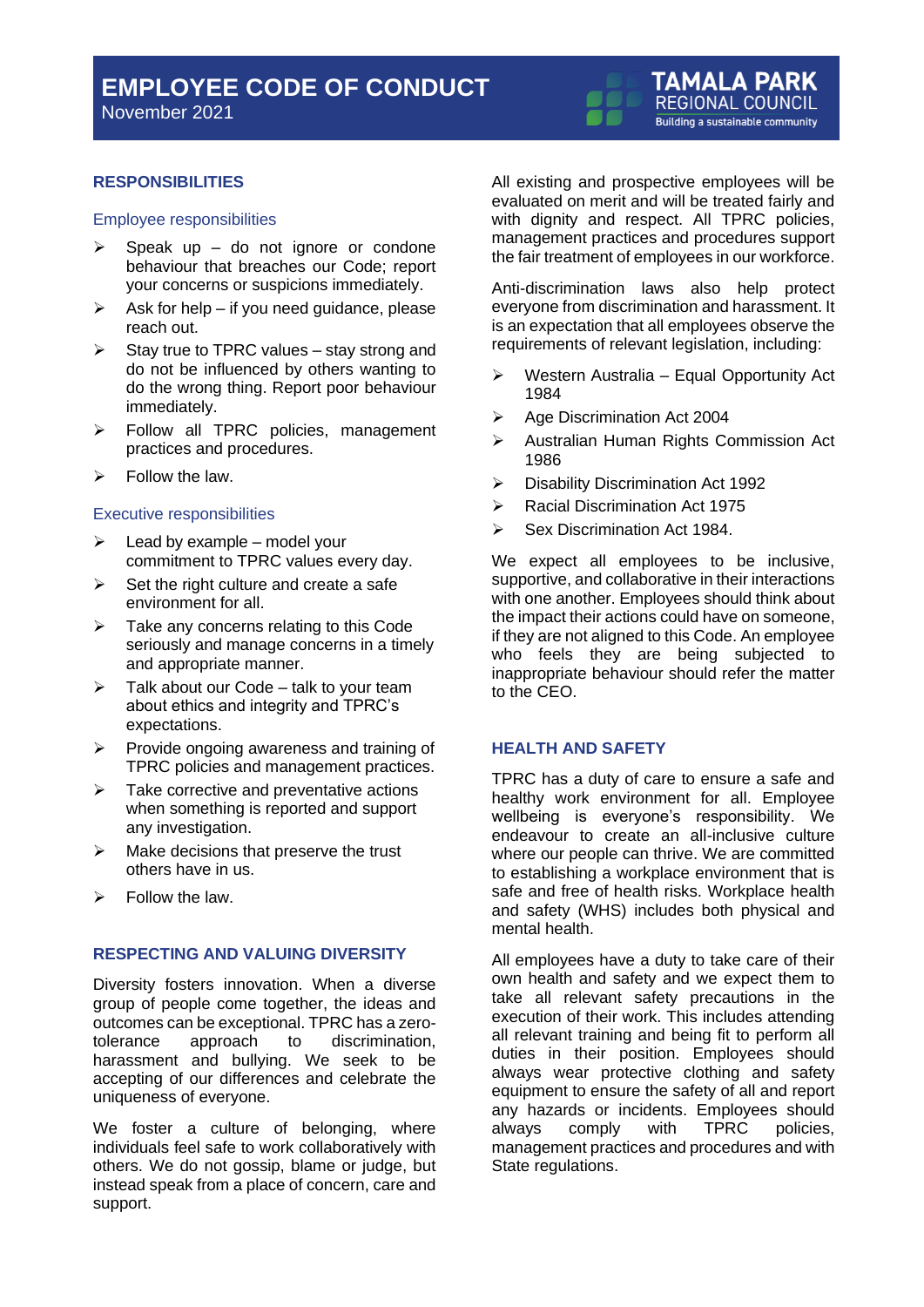#### <span id="page-4-0"></span>**RESPONSIBILITIES**

#### <span id="page-4-1"></span>Employee responsibilities

- $\triangleright$  Speak up do not ignore or condone behaviour that breaches our Code; report your concerns or suspicions immediately.
- $\triangleright$  Ask for help if you need guidance, please reach out.
- $\triangleright$  Stay true to TPRC values stay strong and do not be influenced by others wanting to do the wrong thing. Report poor behaviour immediately.
- ➢ Follow all TPRC policies, management practices and procedures.
- $\triangleright$  Follow the law.

#### <span id="page-4-2"></span>Executive responsibilities

- $\triangleright$  Lead by example model your commitment to TPRC values every day.
- $\triangleright$  Set the right culture and create a safe environment for all.
- $\triangleright$  Take any concerns relating to this Code seriously and manage concerns in a timely and appropriate manner.
- $\triangleright$  Talk about our Code talk to your team about ethics and integrity and TPRC's expectations.
- ➢ Provide ongoing awareness and training of TPRC policies and management practices.
- ➢ Take corrective and preventative actions when something is reported and support any investigation.
- $\triangleright$  Make decisions that preserve the trust others have in us.
- $\triangleright$  Follow the law.

#### <span id="page-4-3"></span>**RESPECTING AND VALUING DIVERSITY**

Diversity fosters innovation. When a diverse group of people come together, the ideas and outcomes can be exceptional. TPRC has a zerotolerance approach to discrimination, harassment and bullying. We seek to be accepting of our differences and celebrate the uniqueness of everyone.

We foster a culture of belonging, where individuals feel safe to work collaboratively with others. We do not gossip, blame or judge, but instead speak from a place of concern, care and support.

All existing and prospective employees will be evaluated on merit and will be treated fairly and with dignity and respect. All TPRC policies, management practices and procedures support the fair treatment of employees in our workforce.

**TAMALA PARK** REGIONAL COUNCIL **Building a sustainable community** 

Anti-discrimination laws also help protect everyone from discrimination and harassment. It is an expectation that all employees observe the requirements of relevant legislation, including:

- ➢ Western Australia Equal Opportunity Act 1984
- ➢ Age Discrimination Act 2004
- ➢ Australian Human Rights Commission Act 1986
- ➢ Disability Discrimination Act 1992
- ➢ Racial Discrimination Act 1975
- ➢ Sex Discrimination Act 1984.

We expect all employees to be inclusive, supportive, and collaborative in their interactions with one another. Employees should think about the impact their actions could have on someone, if they are not aligned to this Code. An employee who feels they are being subjected to inappropriate behaviour should refer the matter to the CEO.

#### <span id="page-4-4"></span>**HEALTH AND SAFETY**

TPRC has a duty of care to ensure a safe and healthy work environment for all. Employee wellbeing is everyone's responsibility. We endeavour to create an all-inclusive culture where our people can thrive. We are committed to establishing a workplace environment that is safe and free of health risks. Workplace health and safety (WHS) includes both physical and mental health.

All employees have a duty to take care of their own health and safety and we expect them to take all relevant safety precautions in the execution of their work. This includes attending all relevant training and being fit to perform all duties in their position. Employees should always wear protective clothing and safety equipment to ensure the safety of all and report any hazards or incidents. Employees should<br>always comply with TPRC policies. always comply with TPRC policies, management practices and procedures and with State regulations.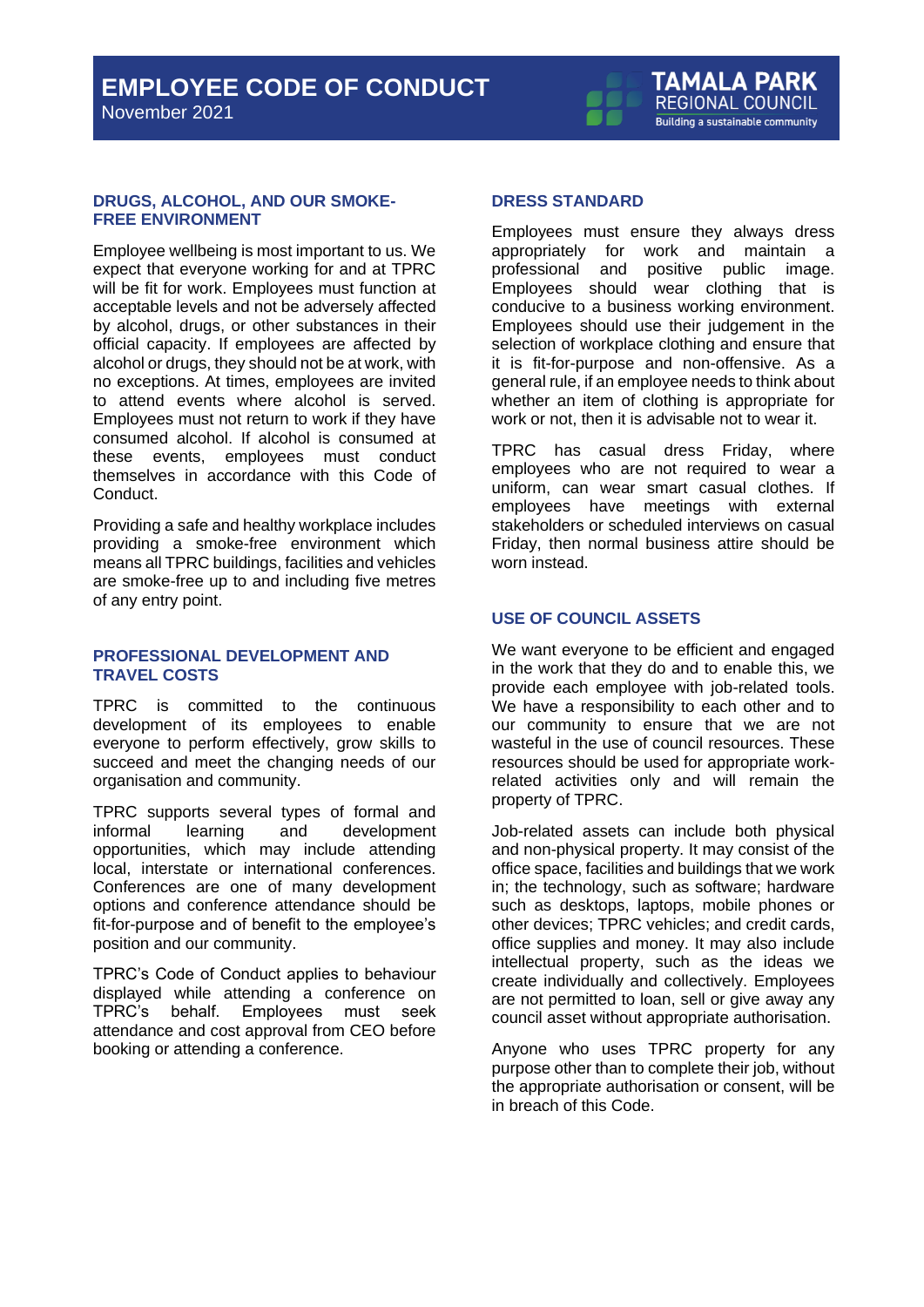#### <span id="page-5-0"></span>**DRUGS, ALCOHOL, AND OUR SMOKE-FREE ENVIRONMENT**

Employee wellbeing is most important to us. We expect that everyone working for and at TPRC will be fit for work. Employees must function at acceptable levels and not be adversely affected by alcohol, drugs, or other substances in their official capacity. If employees are affected by alcohol or drugs, they should not be at work, with no exceptions. At times, employees are invited to attend events where alcohol is served. Employees must not return to work if they have consumed alcohol. If alcohol is consumed at these events, employees must conduct themselves in accordance with this Code of **Conduct** 

Providing a safe and healthy workplace includes providing a smoke-free environment which means all TPRC buildings, facilities and vehicles are smoke-free up to and including five metres of any entry point.

#### <span id="page-5-1"></span>**PROFESSIONAL DEVELOPMENT AND TRAVEL COSTS**

TPRC is committed to the continuous development of its employees to enable everyone to perform effectively, grow skills to succeed and meet the changing needs of our organisation and community.

TPRC supports several types of formal and informal learning and development opportunities, which may include attending local, interstate or international conferences. Conferences are one of many development options and conference attendance should be fit-for-purpose and of benefit to the employee's position and our community.

TPRC's Code of Conduct applies to behaviour displayed while attending a conference on TPRC's behalf. Employees must seek attendance and cost approval from CEO before booking or attending a conference.

#### <span id="page-5-2"></span>**DRESS STANDARD**

Employees must ensure they always dress appropriately for work and maintain a professional and positive public image. Employees should wear clothing that is conducive to a business working environment. Employees should use their judgement in the selection of workplace clothing and ensure that it is fit-for-purpose and non-offensive. As a general rule, if an employee needs to think about whether an item of clothing is appropriate for work or not, then it is advisable not to wear it.

TPRC has casual dress Friday, where employees who are not required to wear a uniform, can wear smart casual clothes. If employees have meetings with external stakeholders or scheduled interviews on casual Friday, then normal business attire should be worn instead.

#### <span id="page-5-3"></span>**USE OF COUNCIL ASSETS**

We want everyone to be efficient and engaged in the work that they do and to enable this, we provide each employee with job-related tools. We have a responsibility to each other and to our community to ensure that we are not wasteful in the use of council resources. These resources should be used for appropriate workrelated activities only and will remain the property of TPRC.

Job-related assets can include both physical and non-physical property. It may consist of the office space, facilities and buildings that we work in; the technology, such as software; hardware such as desktops, laptops, mobile phones or other devices; TPRC vehicles; and credit cards, office supplies and money. It may also include intellectual property, such as the ideas we create individually and collectively. Employees are not permitted to loan, sell or give away any council asset without appropriate authorisation.

Anyone who uses TPRC property for any purpose other than to complete their job, without the appropriate authorisation or consent, will be in breach of this Code.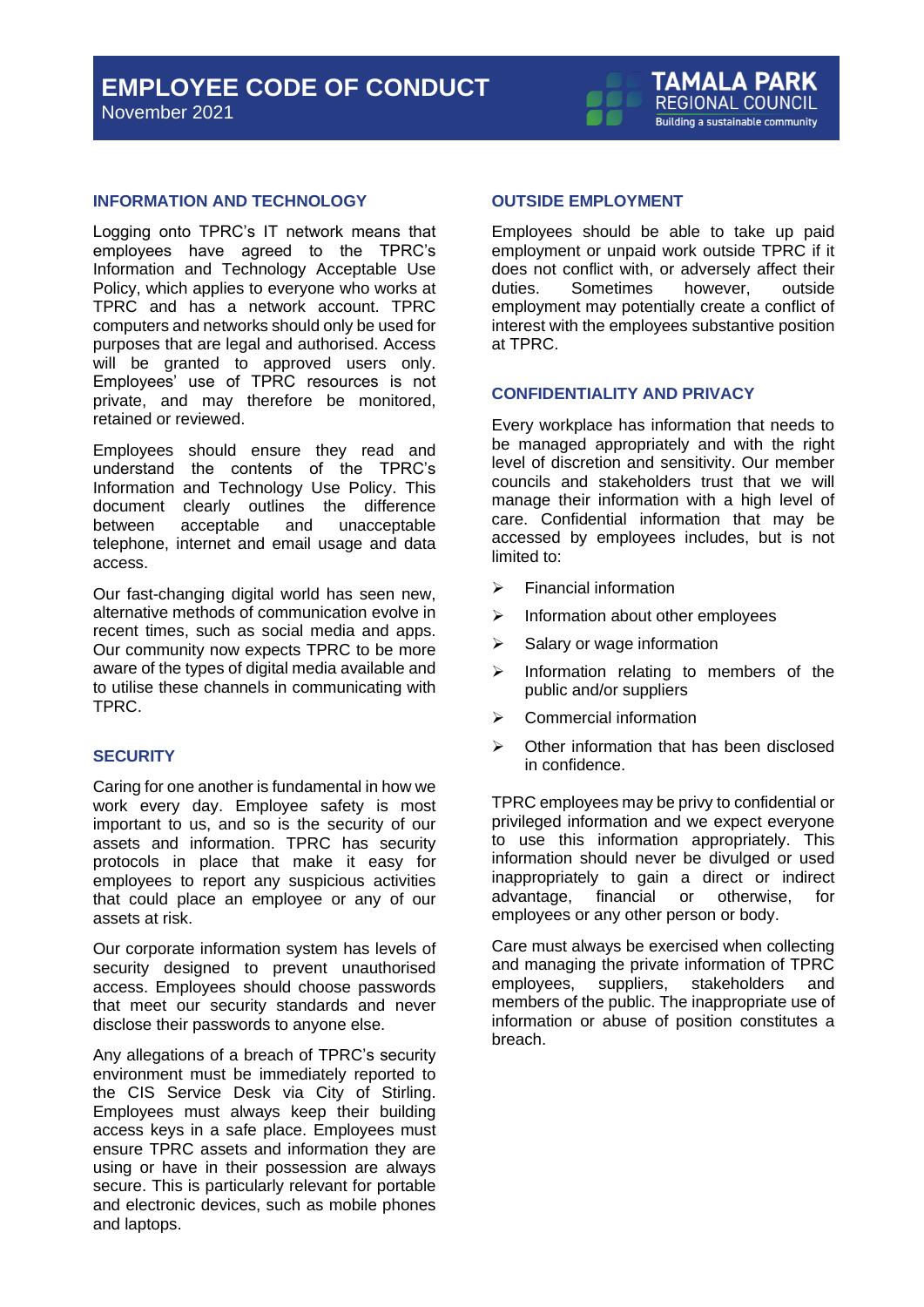November 2021

#### <span id="page-6-0"></span>**INFORMATION AND TECHNOLOGY**

Logging onto TPRC's IT network means that employees have agreed to the TPRC's Information and Technology Acceptable Use Policy, which applies to everyone who works at TPRC and has a network account. TPRC computers and networks should only be used for purposes that are legal and authorised. Access will be granted to approved users only. Employees' use of TPRC resources is not private, and may therefore be monitored, retained or reviewed.

Employees should ensure they read and understand the contents of the TPRC's Information and Technology Use Policy. This document clearly outlines the difference between acceptable and unacceptable telephone, internet and email usage and data access.

Our fast-changing digital world has seen new, alternative methods of communication evolve in recent times, such as social media and apps. Our community now expects TPRC to be more aware of the types of digital media available and to utilise these channels in communicating with TPRC.

#### <span id="page-6-1"></span>**SECURITY**

Caring for one another is fundamental in how we work every day. Employee safety is most important to us, and so is the security of our assets and information. TPRC has security protocols in place that make it easy for employees to report any suspicious activities that could place an employee or any of our assets at risk.

Our corporate information system has levels of security designed to prevent unauthorised access. Employees should choose passwords that meet our security standards and never disclose their passwords to anyone else.

Any allegations of a breach of TPRC's security environment must be immediately reported to the CIS Service Desk via City of Stirling. Employees must always keep their building access keys in a safe place. Employees must ensure TPRC assets and information they are using or have in their possession are always secure. This is particularly relevant for portable and electronic devices, such as mobile phones and laptops.

#### <span id="page-6-2"></span>**OUTSIDE EMPLOYMENT**

Employees should be able to take up paid employment or unpaid work outside TPRC if it does not conflict with, or adversely affect their duties. Sometimes however, outside employment may potentially create a conflict of interest with the employees substantive position at TPRC.

#### <span id="page-6-3"></span>**CONFIDENTIALITY AND PRIVACY**

Every workplace has information that needs to be managed appropriately and with the right level of discretion and sensitivity. Our member councils and stakeholders trust that we will manage their information with a high level of care. Confidential information that may be accessed by employees includes, but is not limited to:

- ➢ Financial information
- ➢ Information about other employees
- $\triangleright$  Salary or wage information
- $\triangleright$  Information relating to members of the public and/or suppliers
- ➢ Commercial information
- ➢ Other information that has been disclosed in confidence.

TPRC employees may be privy to confidential or privileged information and we expect everyone to use this information appropriately. This information should never be divulged or used inappropriately to gain a direct or indirect advantage, financial or otherwise, for employees or any other person or body.

Care must always be exercised when collecting and managing the private information of TPRC employees, suppliers, stakeholders and members of the public. The inappropriate use of information or abuse of position constitutes a breach.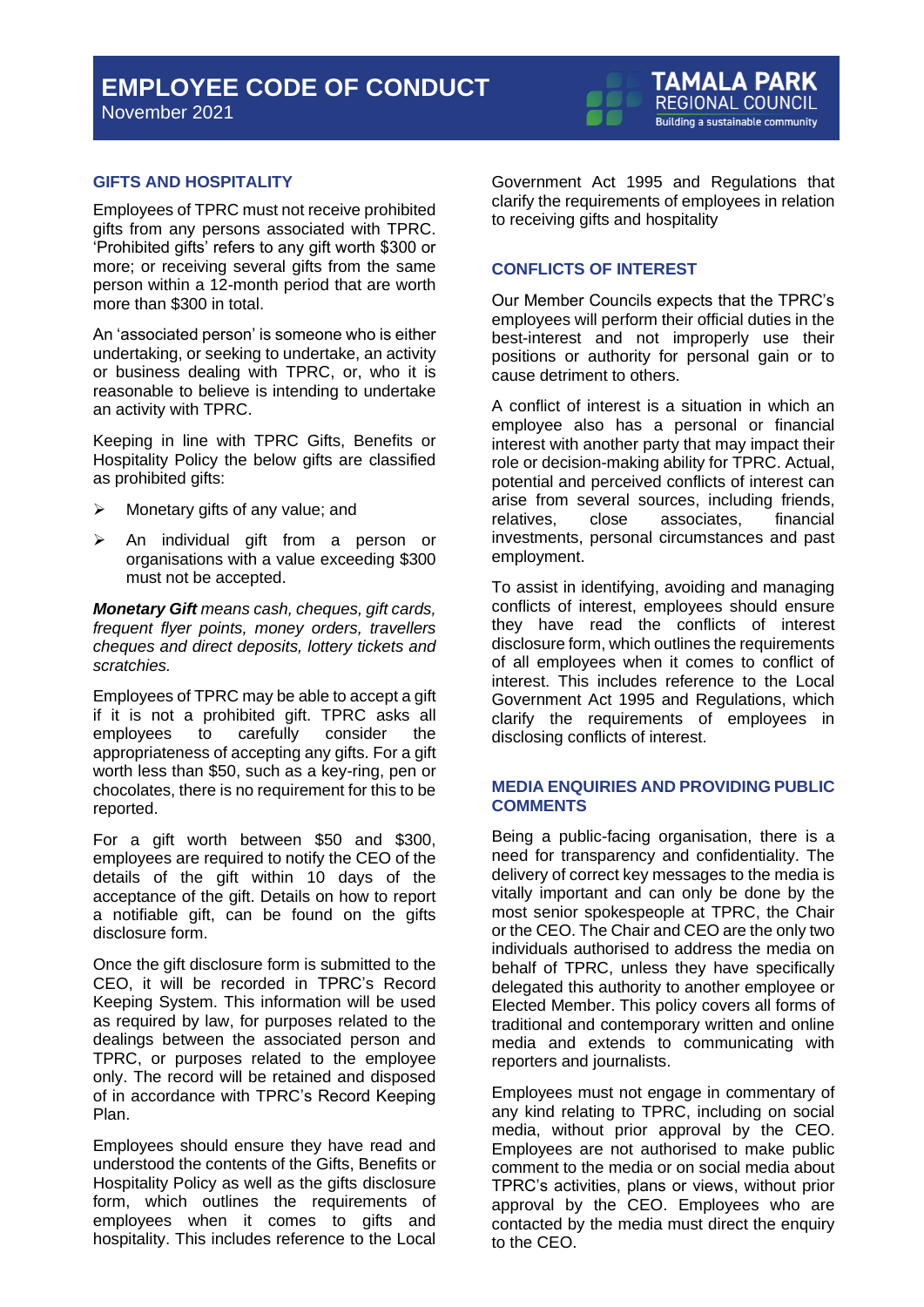November 2021



#### <span id="page-7-0"></span>**GIFTS AND HOSPITALITY**

Employees of TPRC must not receive prohibited gifts from any persons associated with TPRC. 'Prohibited gifts' refers to any gift worth \$300 or more; or receiving several gifts from the same person within a 12-month period that are worth more than \$300 in total.

An 'associated person' is someone who is either undertaking, or seeking to undertake, an activity or business dealing with TPRC, or, who it is reasonable to believe is intending to undertake an activity with TPRC.

Keeping in line with TPRC Gifts, Benefits or Hospitality Policy the below gifts are classified as prohibited gifts:

- $\triangleright$  Monetary gifts of any value; and
- An individual gift from a person or organisations with a value exceeding \$300 must not be accepted.

*Monetary Gift means cash, cheques, gift cards, frequent flyer points, money orders, travellers cheques and direct deposits, lottery tickets and scratchies.*

Employees of TPRC may be able to accept a gift if it is not a prohibited gift. TPRC asks all employees to carefully consider the appropriateness of accepting any gifts. For a gift worth less than \$50, such as a key-ring, pen or chocolates, there is no requirement for this to be reported.

For a gift worth between \$50 and \$300, employees are required to notify the CEO of the details of the gift within 10 days of the acceptance of the gift. Details on how to report a notifiable gift, can be found on the gifts disclosure form.

Once the gift disclosure form is submitted to the CEO, it will be recorded in TPRC's Record Keeping System. This information will be used as required by law, for purposes related to the dealings between the associated person and TPRC, or purposes related to the employee only. The record will be retained and disposed of in accordance with TPRC's Record Keeping Plan.

Employees should ensure they have read and understood the contents of the Gifts, Benefits or Hospitality Policy as well as the gifts disclosure form, which outlines the requirements of employees when it comes to gifts and hospitality. This includes reference to the Local

Government Act 1995 and Regulations that clarify the requirements of employees in relation to receiving gifts and hospitality

#### <span id="page-7-1"></span>**CONFLICTS OF INTEREST**

Our Member Councils expects that the TPRC's employees will perform their official duties in the best-interest and not improperly use their positions or authority for personal gain or to cause detriment to others.

A conflict of interest is a situation in which an employee also has a personal or financial interest with another party that may impact their role or decision-making ability for TPRC. Actual, potential and perceived conflicts of interest can arise from several sources, including friends, relatives, close associates, financial investments, personal circumstances and past employment.

To assist in identifying, avoiding and managing conflicts of interest, employees should ensure they have read the conflicts of interest disclosure form, which outlines the requirements of all employees when it comes to conflict of interest. This includes reference to the Local Government Act 1995 and Regulations, which clarify the requirements of employees in disclosing conflicts of interest.

#### <span id="page-7-2"></span>**MEDIA ENQUIRIES AND PROVIDING PUBLIC COMMENTS**

Being a public-facing organisation, there is a need for transparency and confidentiality. The delivery of correct key messages to the media is vitally important and can only be done by the most senior spokespeople at TPRC, the Chair or the CEO. The Chair and CEO are the only two individuals authorised to address the media on behalf of TPRC, unless they have specifically delegated this authority to another employee or Elected Member. This policy covers all forms of traditional and contemporary written and online media and extends to communicating with reporters and journalists.

Employees must not engage in commentary of any kind relating to TPRC, including on social media, without prior approval by the CEO. Employees are not authorised to make public comment to the media or on social media about TPRC's activities, plans or views, without prior approval by the CEO. Employees who are contacted by the media must direct the enquiry to the CEO.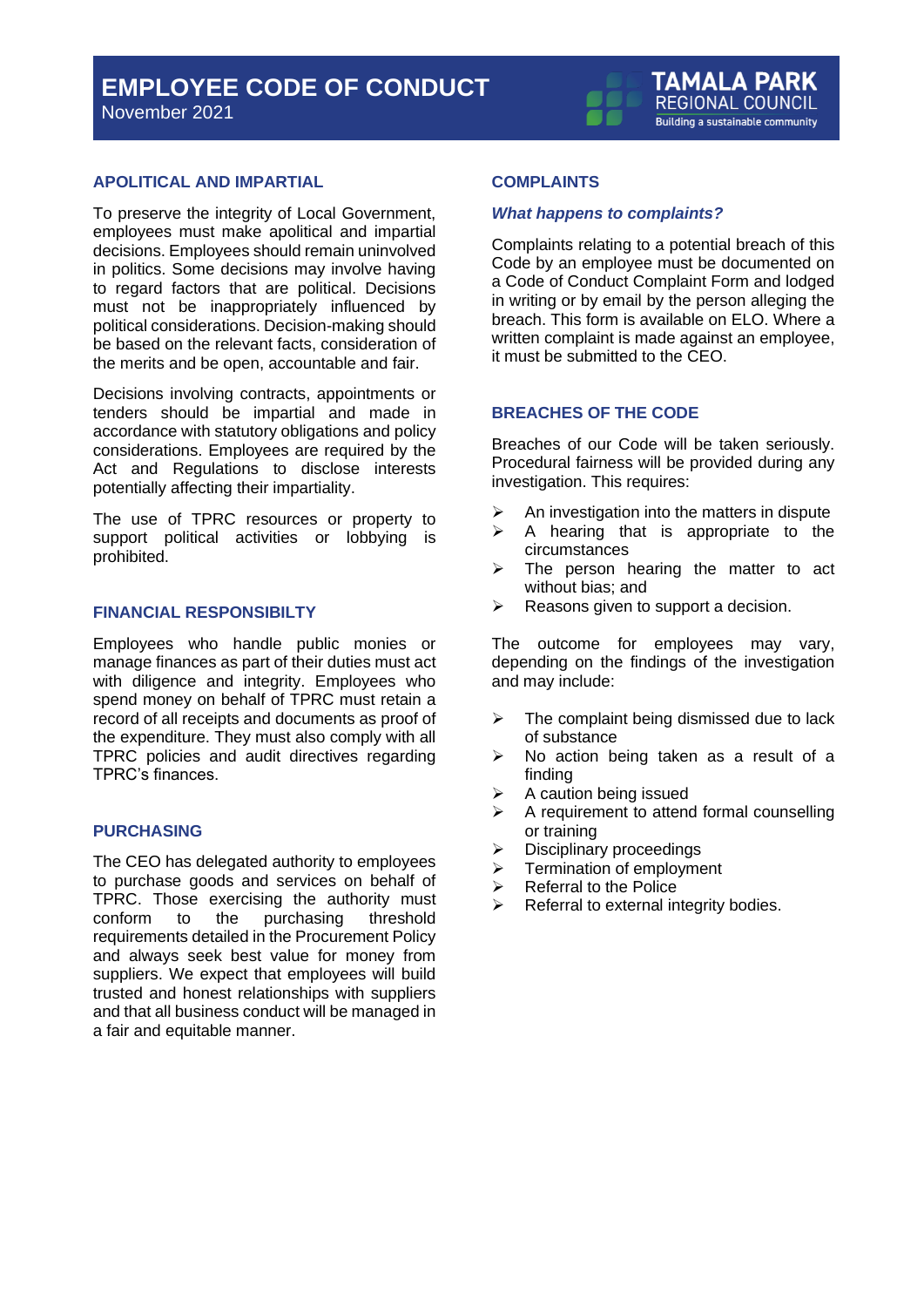November 2021

#### **TAMALA PARK REGIONAL COUNCIL** Building a sustainable community

#### <span id="page-8-0"></span>**APOLITICAL AND IMPARTIAL**

To preserve the integrity of Local Government, employees must make apolitical and impartial decisions. Employees should remain uninvolved in politics. Some decisions may involve having to regard factors that are political. Decisions must not be inappropriately influenced by political considerations. Decision-making should be based on the relevant facts, consideration of the merits and be open, accountable and fair.

Decisions involving contracts, appointments or tenders should be impartial and made in accordance with statutory obligations and policy considerations. Employees are required by the Act and Regulations to disclose interests potentially affecting their impartiality.

The use of TPRC resources or property to support political activities or lobbying is prohibited.

#### <span id="page-8-1"></span>**FINANCIAL RESPONSIBILTY**

Employees who handle public monies or manage finances as part of their duties must act with diligence and integrity. Employees who spend money on behalf of TPRC must retain a record of all receipts and documents as proof of the expenditure. They must also comply with all TPRC policies and audit directives regarding TPRC's finances.

#### <span id="page-8-2"></span>**PURCHASING**

The CEO has delegated authority to employees to purchase goods and services on behalf of TPRC. Those exercising the authority must conform to the purchasing threshold requirements detailed in the Procurement Policy and always seek best value for money from suppliers. We expect that employees will build trusted and honest relationships with suppliers and that all business conduct will be managed in a fair and equitable manner.

#### <span id="page-8-3"></span>**COMPLAINTS**

#### *What happens to complaints?*

Complaints relating to a potential breach of this Code by an employee must be documented on a Code of Conduct Complaint Form and lodged in writing or by email by the person alleging the breach. This form is available on ELO. Where a written complaint is made against an employee, it must be submitted to the CEO.

#### <span id="page-8-4"></span>**BREACHES OF THE CODE**

Breaches of our Code will be taken seriously. Procedural fairness will be provided during any investigation. This requires:

- $\triangleright$  An investigation into the matters in dispute
- $\triangleright$  A hearing that is appropriate to the circumstances
- ➢ The person hearing the matter to act without bias; and
- $\triangleright$  Reasons given to support a decision.

The outcome for employees may vary, depending on the findings of the investigation and may include:

- $\triangleright$  The complaint being dismissed due to lack of substance
- ➢ No action being taken as a result of a finding
- $\triangleright$  A caution being issued
- ➢ A requirement to attend formal counselling or training
- ➢ Disciplinary proceedings
- ➢ Termination of employment
- ➢ Referral to the Police
- ➢ Referral to external integrity bodies.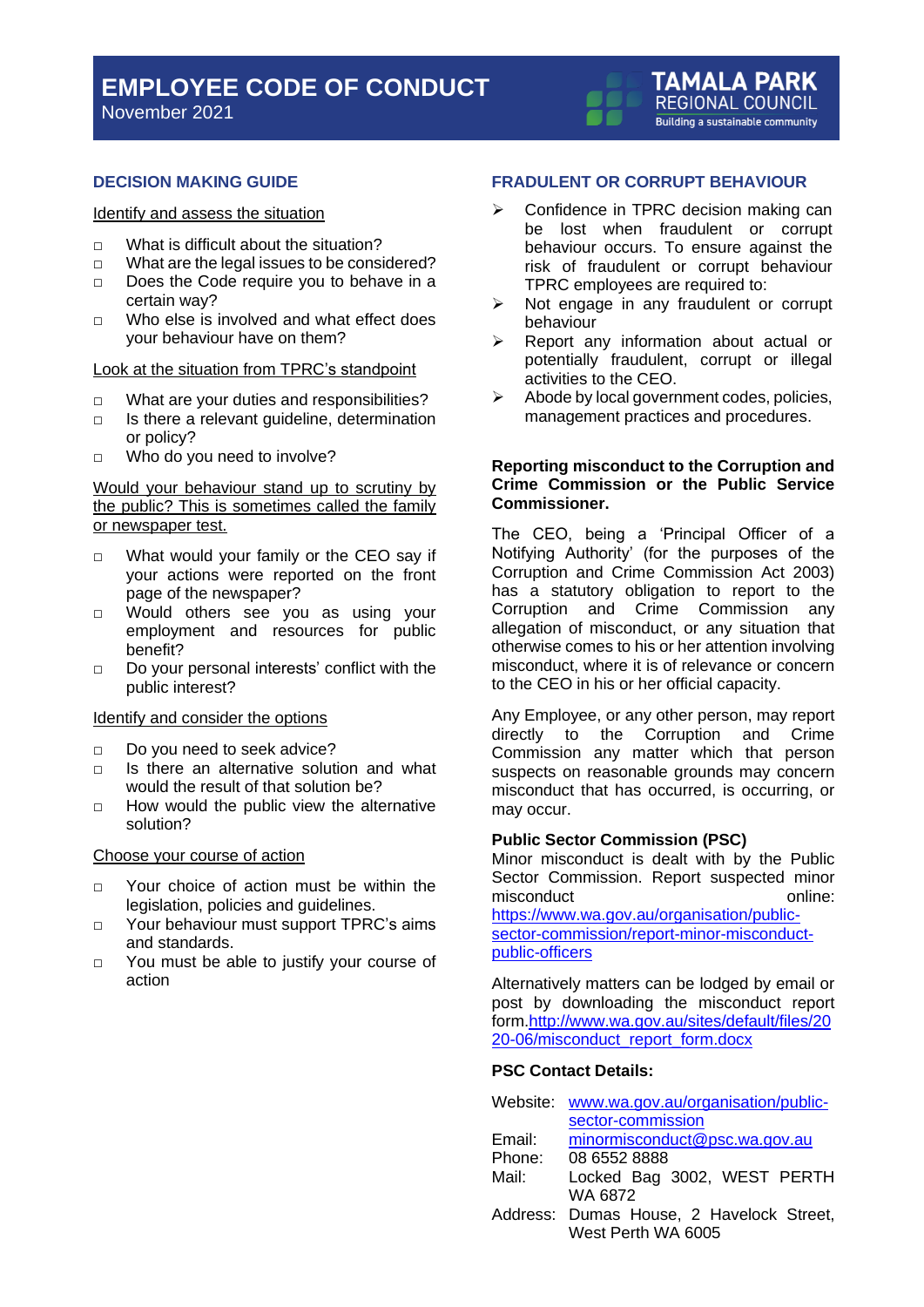November 2021

#### **TAMALA PARK** REGIONAL COUNCIL **Building a sustainable community**

#### <span id="page-9-0"></span>**DECISION MAKING GUIDE**

#### Identify and assess the situation

- □ What is difficult about the situation?
- □ What are the legal issues to be considered?
- □ Does the Code require you to behave in a certain way?
- □ Who else is involved and what effect does your behaviour have on them?

#### Look at the situation from TPRC's standpoint

- □ What are your duties and responsibilities?
- $\Box$  Is there a relevant guideline, determination or policy?
- □ Who do you need to involve?

#### Would your behaviour stand up to scrutiny by the public? This is sometimes called the family or newspaper test.

- □ What would your family or the CEO say if your actions were reported on the front page of the newspaper?
- □ Would others see you as using your employment and resources for public benefit?
- □ Do your personal interests' conflict with the public interest?

#### Identify and consider the options

- □ Do you need to seek advice?
- $\neg$  Is there an alternative solution and what would the result of that solution be?
- $\Box$  How would the public view the alternative solution?

#### Choose your course of action

- □ Your choice of action must be within the legislation, policies and guidelines.
- □ Your behaviour must support TPRC's aims and standards.
- □ You must be able to justify your course of action

#### <span id="page-9-1"></span>**FRADULENT OR CORRUPT BEHAVIOUR**

- ➢ Confidence in TPRC decision making can be lost when fraudulent or corrupt behaviour occurs. To ensure against the risk of fraudulent or corrupt behaviour TPRC employees are required to:
- ➢ Not engage in any fraudulent or corrupt behaviour
- ➢ Report any information about actual or potentially fraudulent, corrupt or illegal activities to the CEO.
- ➢ Abode by local government codes, policies, management practices and procedures.

#### **Reporting misconduct to the Corruption and Crime Commission or the Public Service Commissioner.**

The CEO, being a 'Principal Officer of a Notifying Authority' (for the purposes of the Corruption and Crime Commission Act 2003) has a statutory obligation to report to the Corruption and Crime Commission any allegation of misconduct, or any situation that otherwise comes to his or her attention involving misconduct, where it is of relevance or concern to the CEO in his or her official capacity.

Any Employee, or any other person, may report directly to the Corruption and Crime Commission any matter which that person suspects on reasonable grounds may concern misconduct that has occurred, is occurring, or may occur.

#### **Public Sector Commission (PSC)**

Minor misconduct is dealt with by the Public Sector Commission. Report suspected minor misconduct online:

[https://www.wa.gov.au/organisation/public](https://www.wa.gov.au/organisation/public-sector-commission/report-minor-misconduct-public-officers)[sector-commission/report-minor-misconduct](https://www.wa.gov.au/organisation/public-sector-commission/report-minor-misconduct-public-officers)[public-officers](https://www.wa.gov.au/organisation/public-sector-commission/report-minor-misconduct-public-officers)

Alternatively matters can be lodged by email or post by downloading the misconduct report form[.http://www.wa.gov.au/sites/default/files/20](http://www.wa.gov.au/sites/default/files/2020-06/misconduct_report_form.docx) [20-06/misconduct\\_report\\_form.docx](http://www.wa.gov.au/sites/default/files/2020-06/misconduct_report_form.docx)

#### **PSC Contact Details:**

| Website: | www.wa.gov.au/organisation/public-       |
|----------|------------------------------------------|
|          | sector-commission                        |
| Email:   | minormisconduct@psc.wa.gov.au            |
| Phone:   | 08 6552 8888                             |
| Mail:    | Locked Bag 3002, WEST PERTH              |
|          | WA 6872                                  |
|          | Address: Dumas House, 2 Havelock Street, |
|          | West Perth WA 6005                       |